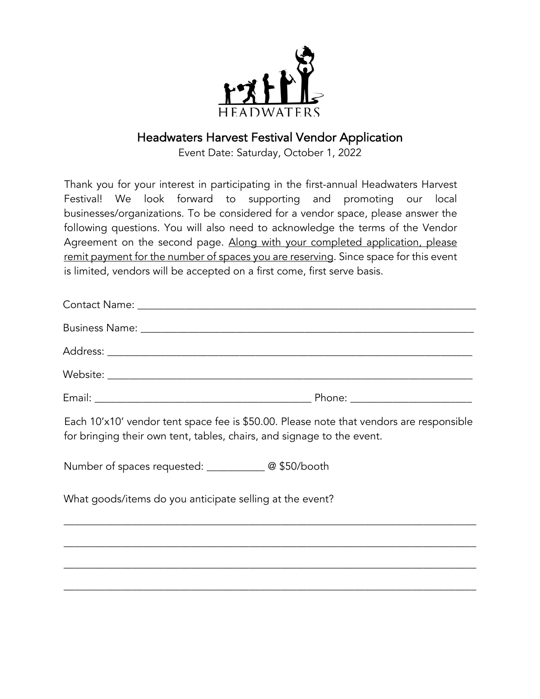

## Headwaters Harvest Festival Vendor Application

Event Date: Saturday, October 1, 2022

Thank you for your interest in participating in the first-annual Headwaters Harvest Festival! We look forward to supporting and promoting our local businesses/organizations. To be considered for a vendor space, please answer the following questions. You will also need to acknowledge the terms of the Vendor Agreement on the second page. Along with your completed application, please remit payment for the number of spaces you are reserving. Since space for this event is limited, vendors will be accepted on a first come, first serve basis.

Each 10'x10' vendor tent space fee is \$50.00. Please note that vendors are responsible for bringing their own tent, tables, chairs, and signage to the event.

\_\_\_\_\_\_\_\_\_\_\_\_\_\_\_\_\_\_\_\_\_\_\_\_\_\_\_\_\_\_\_\_\_\_\_\_\_\_\_\_\_\_\_\_\_\_\_\_\_\_\_\_\_\_\_\_\_\_\_\_\_\_\_\_\_\_\_\_\_\_\_\_\_\_\_\_\_\_

\_\_\_\_\_\_\_\_\_\_\_\_\_\_\_\_\_\_\_\_\_\_\_\_\_\_\_\_\_\_\_\_\_\_\_\_\_\_\_\_\_\_\_\_\_\_\_\_\_\_\_\_\_\_\_\_\_\_\_\_\_\_\_\_\_\_\_\_\_\_\_\_\_\_\_\_\_\_

\_\_\_\_\_\_\_\_\_\_\_\_\_\_\_\_\_\_\_\_\_\_\_\_\_\_\_\_\_\_\_\_\_\_\_\_\_\_\_\_\_\_\_\_\_\_\_\_\_\_\_\_\_\_\_\_\_\_\_\_\_\_\_\_\_\_\_\_\_\_\_\_\_\_\_\_\_\_

\_\_\_\_\_\_\_\_\_\_\_\_\_\_\_\_\_\_\_\_\_\_\_\_\_\_\_\_\_\_\_\_\_\_\_\_\_\_\_\_\_\_\_\_\_\_\_\_\_\_\_\_\_\_\_\_\_\_\_\_\_\_\_\_\_\_\_\_\_\_\_\_\_\_\_\_\_\_

Number of spaces requested: \_\_\_\_\_\_\_\_\_\_\_ @ \$50/booth

What goods/items do you anticipate selling at the event?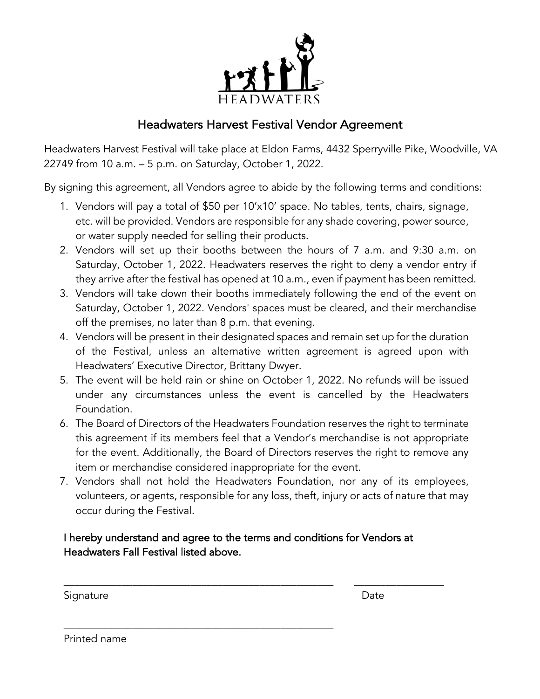

## Headwaters Harvest Festival Vendor Agreement

Headwaters Harvest Festival will take place at Eldon Farms, 4432 Sperryville Pike, Woodville, VA 22749 from 10 a.m. – 5 p.m. on Saturday, October 1, 2022.

By signing this agreement, all Vendors agree to abide by the following terms and conditions:

- 1. Vendors will pay a total of \$50 per 10'x10' space. No tables, tents, chairs, signage, etc. will be provided. Vendors are responsible for any shade covering, power source, or water supply needed for selling their products.
- 2. Vendors will set up their booths between the hours of 7 a.m. and 9:30 a.m. on Saturday, October 1, 2022. Headwaters reserves the right to deny a vendor entry if they arrive after the festival has opened at 10 a.m., even if payment has been remitted.
- 3. Vendors will take down their booths immediately following the end of the event on Saturday, October 1, 2022. Vendors' spaces must be cleared, and their merchandise off the premises, no later than 8 p.m. that evening.
- 4. Vendors will be present in their designated spaces and remain set up for the duration of the Festival, unless an alternative written agreement is agreed upon with Headwaters' Executive Director, Brittany Dwyer.
- 5. The event will be held rain or shine on October 1, 2022. No refunds will be issued under any circumstances unless the event is cancelled by the Headwaters Foundation.
- 6. The Board of Directors of the Headwaters Foundation reserves the right to terminate this agreement if its members feel that a Vendor's merchandise is not appropriate for the event. Additionally, the Board of Directors reserves the right to remove any item or merchandise considered inappropriate for the event.
- 7. Vendors shall not hold the Headwaters Foundation, nor any of its employees, volunteers, or agents, responsible for any loss, theft, injury or acts of nature that may occur during the Festival.

## I hereby understand and agree to the terms and conditions for Vendors at Headwaters Fall Festival listed above.

\_\_\_\_\_\_\_\_\_\_\_\_\_\_\_\_\_\_\_\_\_\_\_\_\_\_\_\_\_\_\_\_\_\_\_\_\_\_\_\_\_\_\_\_\_\_\_\_\_\_\_

\_\_\_\_\_\_\_\_\_\_\_\_\_\_\_\_\_\_\_\_\_\_\_\_\_\_\_\_\_\_\_\_\_\_\_\_\_\_\_\_\_\_\_\_\_\_\_\_\_\_\_ \_\_\_\_\_\_\_\_\_\_\_\_\_\_\_\_\_

Signature Date Date Date Date Date Date

Printed name